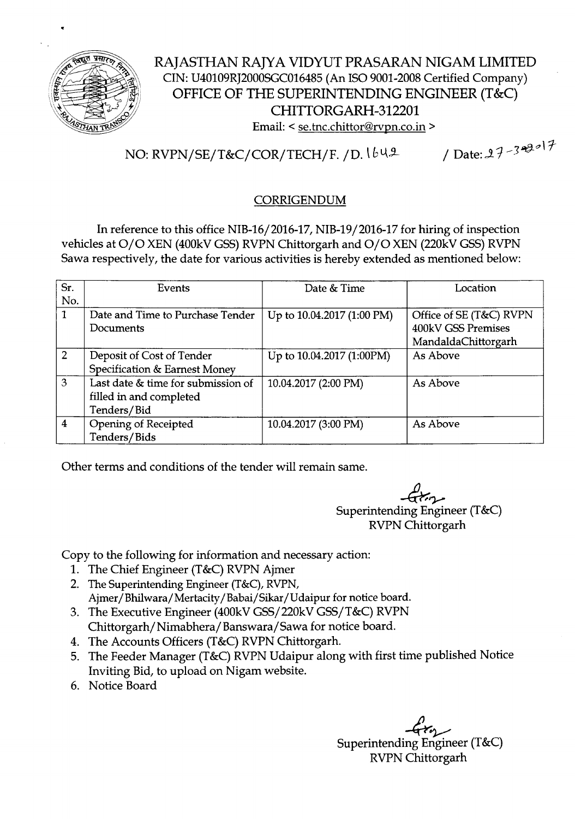

## RAJASTHAN RAJYA VIDYUT PRASARAN NIGAM LIMITED CIN: U40109RJ2000SGCOl6485(An ISO9001-2008Certified Company) OFFICE OF THE SUPERINTENDING ENGINEER (T&C) CHITTORGARH-312201 Email: < se.tnc.chittor@rvpn.co.in >

# NO: RVPN/SE/T&C/COR/TECH/F. /D.  $\frac{1}{6}$   $\frac{1}{2}$  / Date: 27 - 349 <sup>o</sup> 17

### CORRIGENDUM

In reference to this office NIB-16/2016-17, NIB-19/2016-17 for hiring of inspection vehicles at O/O XEN (400kV GSS) RVPN Chittorgarh and O/O XEN (220kV GSS) RVPN Sawa respectively, the date for various activities is hereby extended as mentioned below:

| Sr.            | Events                             | Date & Time                | Location                |  |
|----------------|------------------------------------|----------------------------|-------------------------|--|
| No.            |                                    |                            |                         |  |
| 1              | Date and Time to Purchase Tender   | Up to 10.04.2017 (1:00 PM) | Office of SE (T&C) RVPN |  |
|                | Documents                          |                            | 400kV GSS Premises      |  |
|                |                                    |                            | MandaldaChittorgarh     |  |
| $\overline{2}$ | Deposit of Cost of Tender          | Up to 10.04.2017 (1:00PM)  | As Above                |  |
|                | Specification & Earnest Money      |                            |                         |  |
| 3              | Last date & time for submission of | 10.04.2017 (2:00 PM)       | As Above                |  |
|                | filled in and completed            |                            |                         |  |
|                | Tenders/Bid                        |                            |                         |  |
| 4              | Opening of Receipted               | 10.04.2017 (3:00 PM)       | As Above                |  |
|                | Tenders/Bids                       |                            |                         |  |

Other terms and conditions of the tender will remain same.

 $-$ G $\tau$ Superintending Engineer (T&C) RVPNChittorgarh

Copy to the following for information and necessary action:

- 1. The Chief Engineer (T&C) RVPN Ajmer
- 2. The Superintending Engineer (T&C), RVPN, Ajmer / Bhilwara/ Mertacity / Babai/ Sikar/ Udaipur for notice board.
- 3. The Executive Engineer (400kVGSS/220kV GSS/T&C) RVPN Chittorgarh/Nimabhera/Banswara/Sawa for notice board.
- 4. The Accounts Officers (T&C) RVPN Chittorgarh.
- 5. The Feeder Manager (T&C) RVPN Udaipur along with first time published Notice Inviting Bid, to upload on Nigam website.
- 6. Notice Board

م<br>Superintending Engineer (T&C) RVPNChittorgarh